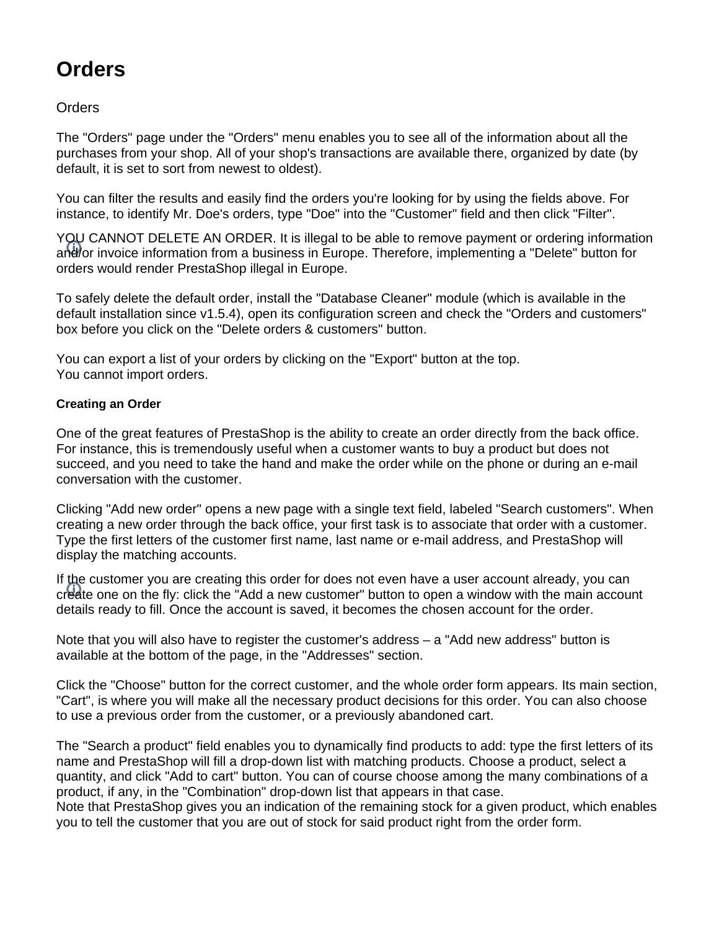# **Orders**

**Orders** 

The "Orders" page under the "Orders" menu enables you to see all of the information about all the purchases from your shop. All of your shop's transactions are available there, organized by date (by default, it is set to sort from newest to oldest).

You can filter the results and easily find the orders you're looking for by using the fields above. For instance, to identify Mr. Doe's orders, type "Doe" into the "Customer" field and then click "Filter".

YOU CANNOT DELETE AN ORDER. It is illegal to be able to remove payment or ordering information and/or invoice information from a business in Europe. Therefore, implementing a "Delete" button for orders would render PrestaShop illegal in Europe.

To safely delete the default order, install the "Database Cleaner" module (which is available in the default installation since v1.5.4), open its configuration screen and check the "Orders and customers" box before you click on the "Delete orders & customers" button.

You can export a list of your orders by clicking on the "Export" button at the top. You cannot import orders.

# **Creating an Order**

One of the great features of PrestaShop is the ability to create an order directly from the back office. For instance, this is tremendously useful when a customer wants to buy a product but does not succeed, and you need to take the hand and make the order while on the phone or during an e-mail conversation with the customer.

Clicking "Add new order" opens a new page with a single text field, labeled "Search customers". When creating a new order through the back office, your first task is to associate that order with a customer. Type the first letters of the customer first name, last name or e-mail address, and PrestaShop will display the matching accounts.

If the customer you are creating this order for does not even have a user account already, you can create one on the fly: click the "Add a new customer" button to open a window with the main account details ready to fill. Once the account is saved, it becomes the chosen account for the order.

Note that you will also have to register the customer's address – a "Add new address" button is available at the bottom of the page, in the "Addresses" section.

Click the "Choose" button for the correct customer, and the whole order form appears. Its main section, "Cart", is where you will make all the necessary product decisions for this order. You can also choose to use a previous order from the customer, or a previously abandoned cart.

The "Search a product" field enables you to dynamically find products to add: type the first letters of its name and PrestaShop will fill a drop-down list with matching products. Choose a product, select a quantity, and click "Add to cart" button. You can of course choose among the many combinations of a product, if any, in the "Combination" drop-down list that appears in that case.

Note that PrestaShop gives you an indication of the remaining stock for a given product, which enables you to tell the customer that you are out of stock for said product right from the order form.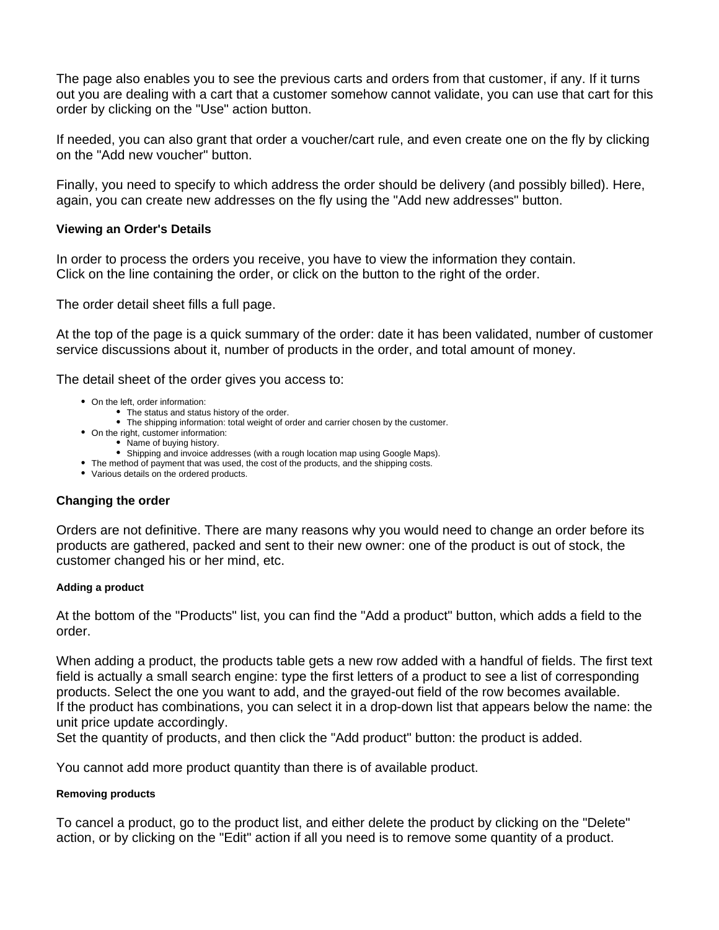The page also enables you to see the previous carts and orders from that customer, if any. If it turns out you are dealing with a cart that a customer somehow cannot validate, you can use that cart for this order by clicking on the "Use" action button.

If needed, you can also grant that order a voucher/cart rule, and even create one on the fly by clicking on the "Add new voucher" button.

Finally, you need to specify to which address the order should be delivery (and possibly billed). Here, again, you can create new addresses on the fly using the "Add new addresses" button.

# **Viewing an Order's Details**

In order to process the orders you receive, you have to view the information they contain. Click on the line containing the order, or click on the button to the right of the order.

The order detail sheet fills a full page.

At the top of the page is a quick summary of the order: date it has been validated, number of customer service discussions about it, number of products in the order, and total amount of money.

The detail sheet of the order gives you access to:

- On the left, order information:
	- The status and status history of the order.
	- The shipping information: total weight of order and carrier chosen by the customer.
- On the right, customer information:
	- Name of buying history.
		- Shipping and invoice addresses (with a rough location map using Google Maps).
- The method of payment that was used, the cost of the products, and the shipping costs.
- Various details on the ordered products.

# **Changing the order**

Orders are not definitive. There are many reasons why you would need to change an order before its products are gathered, packed and sent to their new owner: one of the product is out of stock, the customer changed his or her mind, etc.

#### **Adding a product**

At the bottom of the "Products" list, you can find the "Add a product" button, which adds a field to the order.

When adding a product, the products table gets a new row added with a handful of fields. The first text field is actually a small search engine: type the first letters of a product to see a list of corresponding products. Select the one you want to add, and the grayed-out field of the row becomes available. If the product has combinations, you can select it in a drop-down list that appears below the name: the unit price update accordingly.

Set the quantity of products, and then click the "Add product" button: the product is added.

You cannot add more product quantity than there is of available product.

#### **Removing products**

To cancel a product, go to the product list, and either delete the product by clicking on the "Delete" action, or by clicking on the "Edit" action if all you need is to remove some quantity of a product.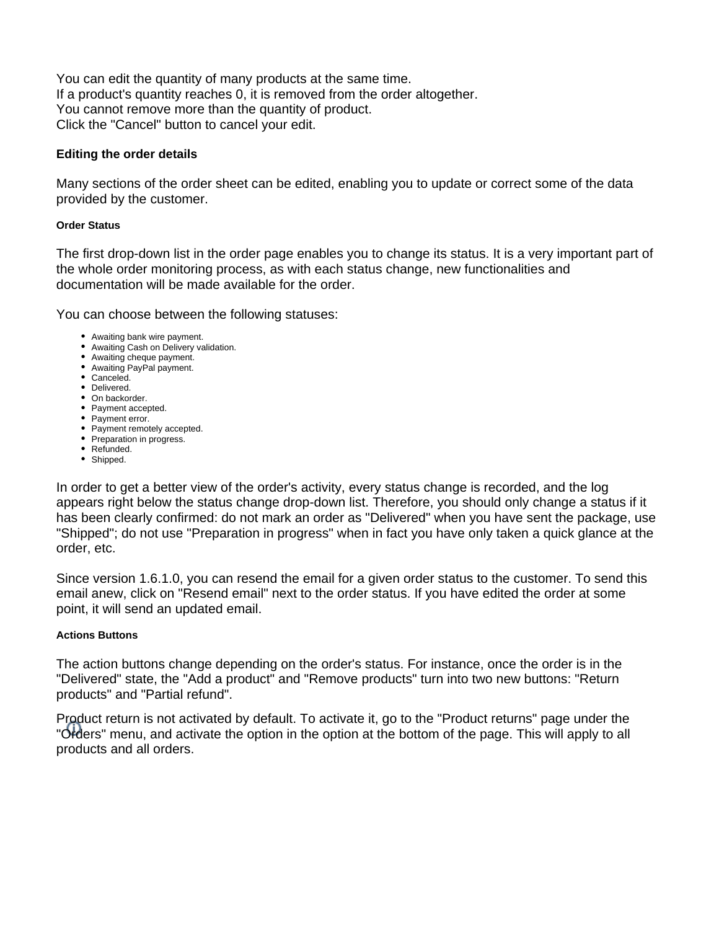You can edit the quantity of many products at the same time. If a product's quantity reaches 0, it is removed from the order altogether. You cannot remove more than the quantity of product. Click the "Cancel" button to cancel your edit.

# **Editing the order details**

Many sections of the order sheet can be edited, enabling you to update or correct some of the data provided by the customer.

#### **Order Status**

The first drop-down list in the order page enables you to change its status. It is a very important part of the whole order monitoring process, as with each status change, new functionalities and documentation will be made available for the order.

You can choose between the following statuses:

- Awaiting bank wire payment.
- Awaiting Cash on Delivery validation.
- Awaiting cheque payment.
- Awaiting PayPal payment.
- Canceled.
- Delivered.
- On backorder.
- Payment accepted. • Payment error.
- Payment remotely accepted.
- Preparation in progress.
- Refunded.
- Shipped.

In order to get a better view of the order's activity, every status change is recorded, and the log appears right below the status change drop-down list. Therefore, you should only change a status if it has been clearly confirmed: do not mark an order as "Delivered" when you have sent the package, use "Shipped"; do not use "Preparation in progress" when in fact you have only taken a quick glance at the order, etc.

Since version 1.6.1.0, you can resend the email for a given order status to the customer. To send this email anew, click on "Resend email" next to the order status. If you have edited the order at some point, it will send an updated email.

# **Actions Buttons**

The action buttons change depending on the order's status. For instance, once the order is in the "Delivered" state, the "Add a product" and "Remove products" turn into two new buttons: "Return products" and "Partial refund".

Product return is not activated by default. To activate it, go to the "Product returns" page under the "Orders" menu, and activate the option in the option at the bottom of the page. This will apply to all products and all orders.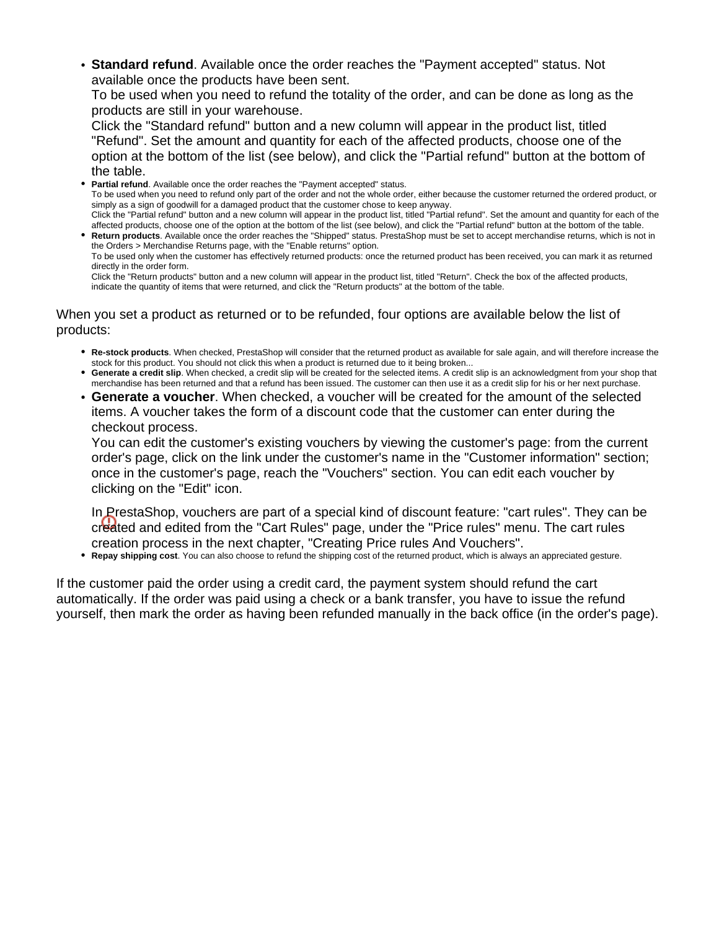**Standard refund**. Available once the order reaches the "Payment accepted" status. Not available once the products have been sent.

To be used when you need to refund the totality of the order, and can be done as long as the products are still in your warehouse.

Click the "Standard refund" button and a new column will appear in the product list, titled "Refund". Set the amount and quantity for each of the affected products, choose one of the option at the bottom of the list (see below), and click the "Partial refund" button at the bottom of the table.

**Partial refund**. Available once the order reaches the "Payment accepted" status. To be used when you need to refund only part of the order and not the whole order, either because the customer returned the ordered product, or simply as a sign of goodwill for a damaged product that the customer chose to keep anyway. Click the "Partial refund" button and a new column will appear in the product list, titled "Partial refund". Set the amount and quantity for each of the affected products, choose one of the option at the bottom of the list (see below), and click the "Partial refund" button at the bottom of the table. **Return products**. Available once the order reaches the "Shipped" status. PrestaShop must be set to accept merchandise returns, which is not in the Orders > Merchandise Returns page, with the "Enable returns" option.

To be used only when the customer has effectively returned products: once the returned product has been received, you can mark it as returned directly in the order form.

Click the "Return products" button and a new column will appear in the product list, titled "Return". Check the box of the affected products, indicate the quantity of items that were returned, and click the "Return products" at the bottom of the table.

When you set a product as returned or to be refunded, four options are available below the list of products:

- **Re-stock products**. When checked, PrestaShop will consider that the returned product as available for sale again, and will therefore increase the stock for this product. You should not click this when a product is returned due to it being broken...
- **Generate a credit slip**. When checked, a credit slip will be created for the selected items. A credit slip is an acknowledgment from your shop that merchandise has been returned and that a refund has been issued. The customer can then use it as a credit slip for his or her next purchase.
- **Generate a voucher**. When checked, a voucher will be created for the amount of the selected items. A voucher takes the form of a discount code that the customer can enter during the checkout process.

You can edit the customer's existing vouchers by viewing the customer's page: from the current order's page, click on the link under the customer's name in the "Customer information" section; once in the customer's page, reach the "Vouchers" section. You can edit each voucher by clicking on the "Edit" icon.

In PrestaShop, vouchers are part of a special kind of discount feature: "cart rules". They can be created and edited from the "Cart Rules" page, under the "Price rules" menu. The cart rules creation process in the next chapter, "Creating Price rules And Vouchers".

**Repay shipping cost**. You can also choose to refund the shipping cost of the returned product, which is always an appreciated gesture.

If the customer paid the order using a credit card, the payment system should refund the cart automatically. If the order was paid using a check or a bank transfer, you have to issue the refund yourself, then mark the order as having been refunded manually in the back office (in the order's page).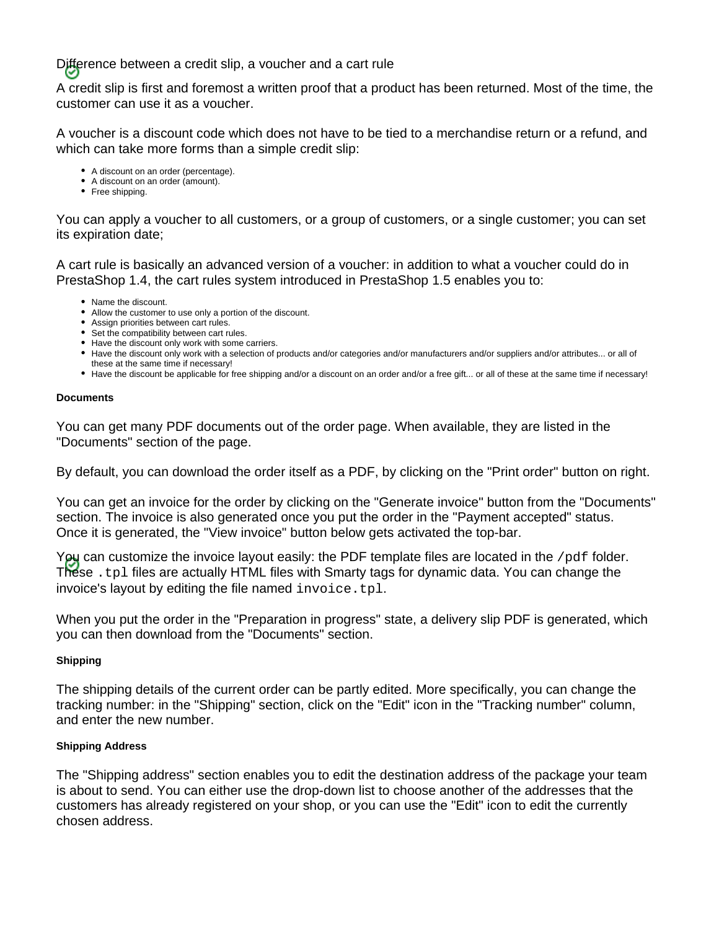Difference between a credit slip, a voucher and a cart rule

A credit slip is first and foremost a written proof that a product has been returned. Most of the time, the customer can use it as a voucher.

A voucher is a discount code which does not have to be tied to a merchandise return or a refund, and which can take more forms than a simple credit slip:

- A discount on an order (percentage).
- A discount on an order (amount).
- Free shipping.

You can apply a voucher to all customers, or a group of customers, or a single customer; you can set its expiration date;

A cart rule is basically an advanced version of a voucher: in addition to what a voucher could do in PrestaShop 1.4, the cart rules system introduced in PrestaShop 1.5 enables you to:

- Name the discount.
- Allow the customer to use only a portion of the discount.
- Assign priorities between cart rules.
- Set the compatibility between cart rules.
- Have the discount only work with some carriers.
- Have the discount only work with a selection of products and/or categories and/or manufacturers and/or suppliers and/or attributes... or all of these at the same time if necessary!
- Have the discount be applicable for free shipping and/or a discount on an order and/or a free gift... or all of these at the same time if necessary!

#### **Documents**

You can get many PDF documents out of the order page. When available, they are listed in the "Documents" section of the page.

By default, you can download the order itself as a PDF, by clicking on the "Print order" button on right.

You can get an invoice for the order by clicking on the "Generate invoice" button from the "Documents" section. The invoice is also generated once you put the order in the "Payment accepted" status. Once it is generated, the "View invoice" button below gets activated the top-bar.

You can customize the invoice layout easily: the PDF template files are located in the /pdf folder. These .tpl files are actually HTML files with Smarty tags for dynamic data. You can change the invoice's layout by editing the file named invoice.tpl.

When you put the order in the "Preparation in progress" state, a delivery slip PDF is generated, which you can then download from the "Documents" section.

# **Shipping**

The shipping details of the current order can be partly edited. More specifically, you can change the tracking number: in the "Shipping" section, click on the "Edit" icon in the "Tracking number" column, and enter the new number.

# **Shipping Address**

The "Shipping address" section enables you to edit the destination address of the package your team is about to send. You can either use the drop-down list to choose another of the addresses that the customers has already registered on your shop, or you can use the "Edit" icon to edit the currently chosen address.